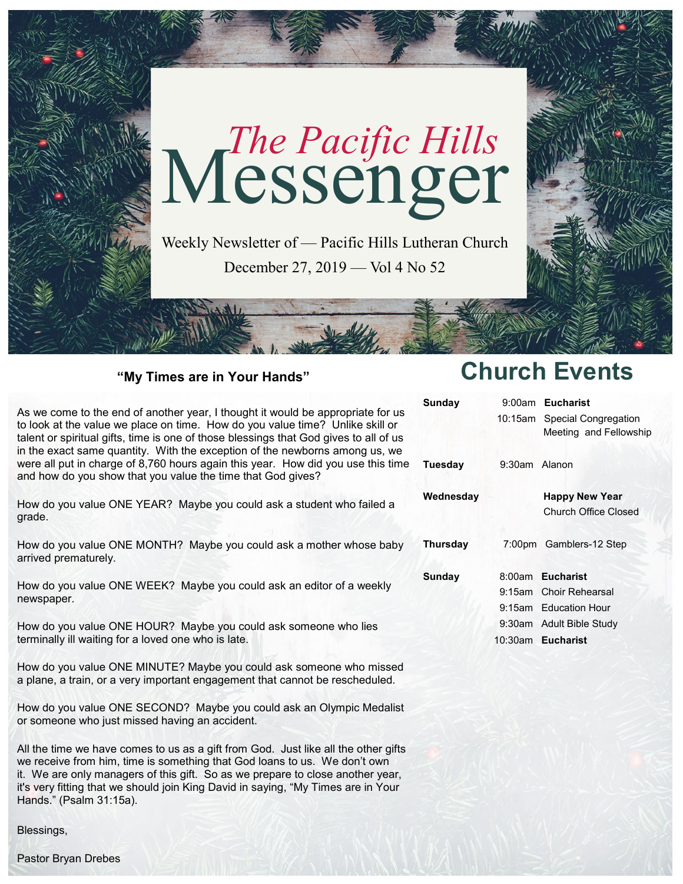

### **"My Times are in Your Hands"**

As we come to the end of another year, I thought it would be appropriate for us to look at the value we place on time. How do you value time? Unlike skill or talent or spiritual gifts, time is one of those blessings that God gives to all of us in the exact same quantity. With the exception of the newborns among us, we were all put in charge of 8,760 hours again this year. How did you use this time and how do you show that you value the time that God gives?

How do you value ONE YEAR? Maybe you could ask a student who failed a grade.

How do you value ONE MONTH? Maybe you could ask a mother whose baby arrived prematurely.

How do you value ONE WEEK? Maybe you could ask an editor of a weekly newspaper.

How do you value ONE HOUR? Maybe you could ask someone who lies terminally ill waiting for a loved one who is late.

How do you value ONE MINUTE? Maybe you could ask someone who missed a plane, a train, or a very important engagement that cannot be rescheduled.

How do you value ONE SECOND? Maybe you could ask an Olympic Medalist or someone who just missed having an accident.

All the time we have comes to us as a gift from God. Just like all the other gifts we receive from him, time is something that God loans to us. We don't own it. We are only managers of this gift. So as we prepare to close another year, it's very fitting that we should join King David in saying, "My Times are in Your Hands." (Psalm 31:15a).

Blessings,

**Church Events**

| Sundav          |               | 9:00am Eucharist             |
|-----------------|---------------|------------------------------|
|                 |               | 10:15am Special Congregation |
|                 |               | Meeting and Fellowship       |
|                 |               |                              |
| Tuesday         | 9:30am Alanon |                              |
|                 |               |                              |
| Wednesday       |               | <b>Happy New Year</b>        |
|                 |               | Church Office Closed         |
|                 |               |                              |
| <b>Thursday</b> |               | 7:00pm Gamblers-12 Step      |
|                 |               |                              |
| Sunday          |               | 8:00am Eucharist             |
|                 |               | 9:15am Choir Rehearsal       |
|                 |               | 9:15am Education Hour        |
|                 |               | 9:30am Adult Bible Study     |
|                 |               | 10:30am Eucharist            |
|                 |               |                              |

Pastor Bryan Drebes